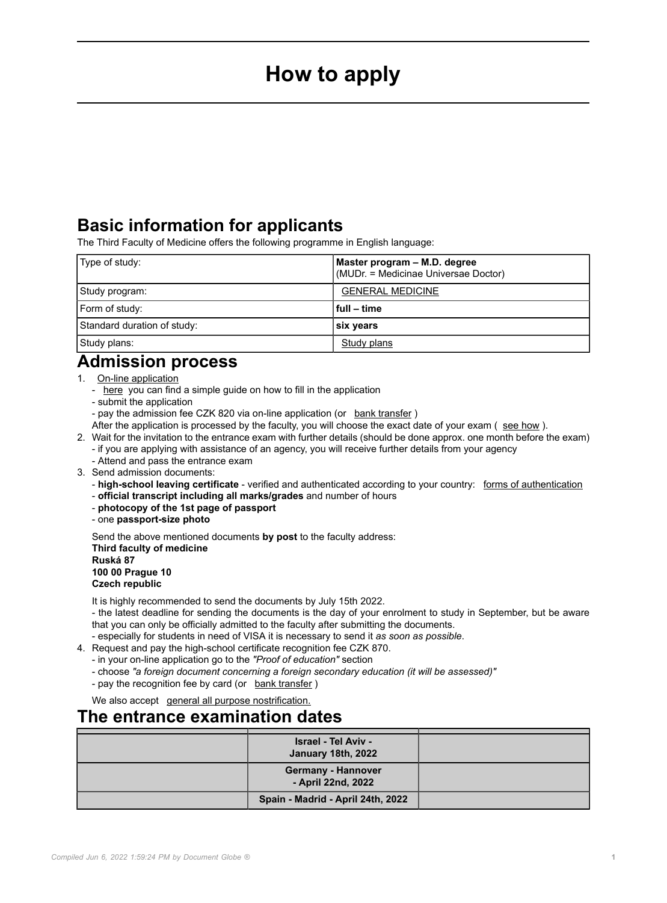# **How to apply**

# <span id="page-0-0"></span>**Basic information for applicants**

The Third Faculty of Medicine offers the following programme in English language:

| Type of study:              | Master program - M.D. degree<br>(MUDr. = Medicinae Universae Doctor) |
|-----------------------------|----------------------------------------------------------------------|
| Study program:              | <b>GENERAL MEDICINE</b>                                              |
| Form of study:              | full – time                                                          |
| Standard duration of study: | six years                                                            |
| Study plans:                | Study plans                                                          |

# **Admission process**

- 1. [On-line application](https://is.cuni.cz/studium/prijimacky/index.php?do=detail_obor&id_obor=26152)
	- [here](https://www.studycharles.cz/how-to-apply) you can find a simple guide on how to fill in the application
	- submit the application
	- pay the admission fee CZK 820 via on-line application (or bank transfer)
	- After the application is processed by the faculty, you will choose the exact date of your exam ( see how ).
- 2. Wait for the invitation to the entrance exam with further details (should be done approx. one month before the exam) - if you are applying with assistance of an agency, you will receive further details from your agency
	- Attend and pass the entrance exam
- 3. Send admission documents:
	- **high-school leaving certificate** verified and authenticated according to your country: forms of authentication
	- **official transcript including all marks/grades** and number of hours
	- **photocopy of the 1st page of passport**
	- one **passport-size photo**

Send the above mentioned documents **by post** to the faculty address: **Third faculty of medicine Ruská 87 100 00 Prague 10 Czech republic**

It is highly recommended to send the documents by July 15th 2022.

- the latest deadline for sending the documents is the day of your enrolment to study in September, but be aware that you can only be officially admitted to the faculty after submitting the documents.

- especially for students in need of VISA it is necessary to send it *as soon as possible*.
- 4. Request and pay the high-school certificate recognition fee CZK 870.
	- in your on-line application go to the *"Proof of education"* section
	- choose *"a foreign document concerning a foreign secondary education (it will be assessed)"*
	- pay the recognition fee by card (or bank transfer )

We also accept [general all purpose nostrification.](https://www.msmt.cz/areas-of-work/tertiary-education/recognition-of-foreign-higher-education-in-the-czech?lang=2)

### **The entrance examination dates**

| <b>Israel - Tel Aviv -</b><br>January 18th, 2022 |  |
|--------------------------------------------------|--|
| <b>Germany - Hannover</b><br>- April 22nd, 2022  |  |
| Spain - Madrid - April 24th, 2022                |  |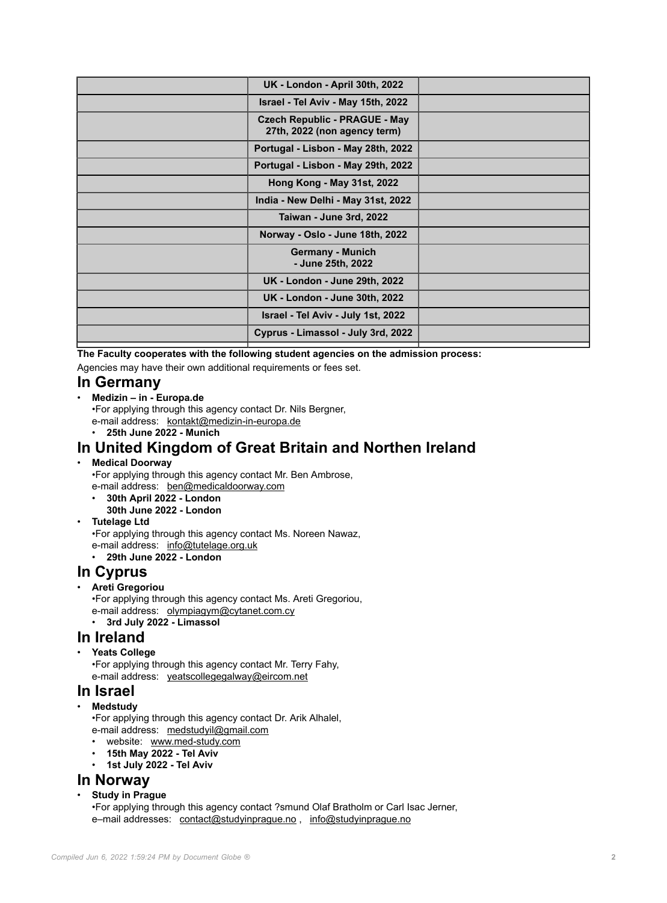| <b>UK - London - April 30th, 2022</b>                                |  |
|----------------------------------------------------------------------|--|
| Israel - Tel Aviv - May 15th, 2022                                   |  |
| <b>Czech Republic - PRAGUE - May</b><br>27th, 2022 (non agency term) |  |
| Portugal - Lisbon - May 28th, 2022                                   |  |
| Portugal - Lisbon - May 29th, 2022                                   |  |
| Hong Kong - May 31st, 2022                                           |  |
| India - New Delhi - May 31st, 2022                                   |  |
| Taiwan - June 3rd, 2022                                              |  |
| Norway - Oslo - June 18th, 2022                                      |  |
| <b>Germany - Munich</b><br>- June 25th, 2022                         |  |
| <b>UK - London - June 29th, 2022</b>                                 |  |
| <b>UK - London - June 30th, 2022</b>                                 |  |
| Israel - Tel Aviv - July 1st, 2022                                   |  |
| Cyprus - Limassol - July 3rd, 2022                                   |  |
|                                                                      |  |

**The Faculty cooperates with the following student agencies on the admission process:** Agencies may have their own additional requirements or fees set.

#### **In Germany**

#### • **Medizin – in - Europa.de**

•For applying through this agency contact Dr. Nils Bergner, e-mail address: [kontakt@medizin-in-europa.de](mailto:kontakt@medizin-in-europa.de)

• **25th June 2022 - Munich**

# **In United Kingdom of Great Britain and Northen Ireland**

#### • **Medical Doorway**

•For applying through this agency contact Mr. Ben Ambrose, e-mail address: [ben@medicaldoorway.com](mailto:ben@medicaldoorway.com)

- **30th April 2022 London**
- **30th June 2022 London**
- **Tutelage Ltd**

•For applying through this agency contact Ms. Noreen Nawaz, e-mail address: [info@tutelage.org.uk](mailto:info@tutelage.org.uk)

• **29th June 2022 - London**

### **In Cyprus**

#### • **Areti Gregoriou**

•For applying through this agency contact Ms. Areti Gregoriou, e-mail address: [olympiagym@cytanet.com.cy](mailto:olympiagym@cytanet.com.cy) • **3rd July 2022 - Limassol**

**In Ireland**

### • **Yeats College**

•For applying through this agency contact Mr. Terry Fahy, e-mail address: [yeatscollegegalway@eircom.net](mailto:yeatscollegegalway@eircom.net)

#### **In Israel**

• **Medstudy**

•For applying through this agency contact Dr. Arik Alhalel, e-mail address: [medstudyil@gmail.com](mailto:medstudyil@gmail.com)

- website: [www.med-study.com](http://www.med-study.com)
- **15th May 2022 Tel Aviv**
- **1st July 2022 Tel Aviv**

### **In Norway**

• **Study in Prague**

•For applying through this agency contact ?smund Olaf Bratholm or Carl Isac Jerner, e–mail addresses: [contact@studyinprague.no](mailto:contact@studyinprague.no) , [info@studyinprague.no](mailto:info@studyinprague.no)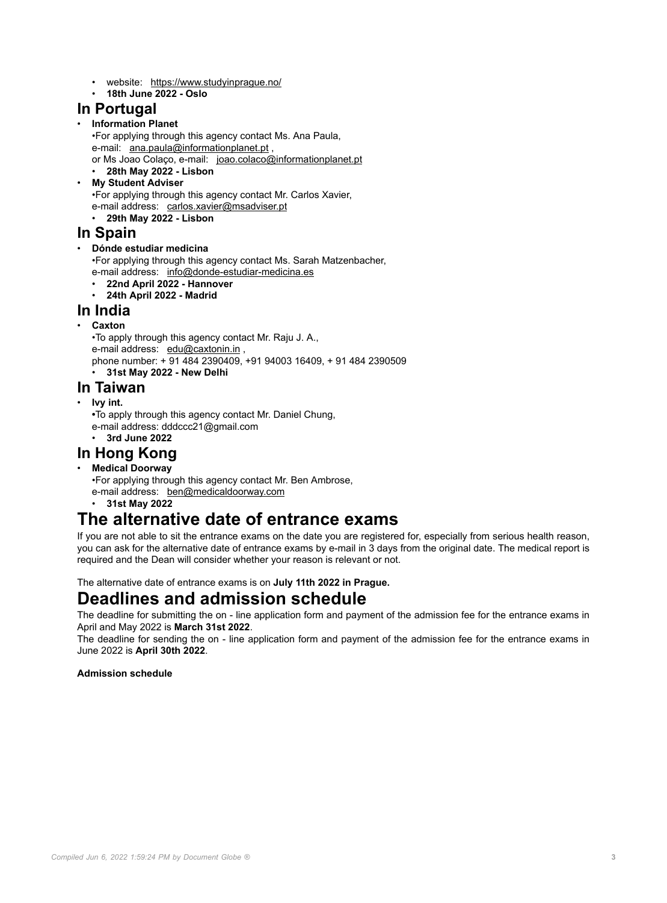- website: <https://www.studyinprague.no/>
- **18th June 2022 Oslo**

#### **In Portugal**

#### • **Information Planet**

- •For applying through this agency contact Ms. Ana Paula, e-mail: [ana.paula@informationplanet.pt](mailto:ana.paula@informationplanet.pt) ,
- or Ms Joao Colaço, e-mail: [joao.colaco@informationplanet.pt](mailto:joao.colaco@informationplanet.pt)
- **28th May 2022 Lisbon**
- **My Student Adviser**

•For applying through this agency contact Mr. Carlos Xavier,

e-mail address: [carlos.xavier@msadviser.pt](mailto:carlos.xavier@msadviser.pt) • **29th May 2022 - Lisbon**

### **In Spain**

#### • **Dónde estudiar medicina**

•For applying through this agency contact Ms. Sarah Matzenbacher, e-mail address: [info@donde-estudiar-medicina.es](mailto:info@donde-estudiar-medicina.es)

- **22nd April 2022 Hannover**
- **24th April 2022 Madrid**

#### **In India**

- **Caxton**
	- •To apply through this agency contact Mr. Raju J. A.,
	- e-mail address: [edu@caxtonin.in](mailto:@),
	- phone number: + 91 484 2390409, +91 94003 16409, + 91 484 2390509

### • **31st May 2022 - New Delhi**

### **In Taiwan**

- **Ivy int.**
	- **•**To apply through this agency contact Mr. Daniel Chung, e-mail address: dddccc21@gmail.com
	- **3rd June 2022**

### **In Hong Kong**

#### • **Medical Doorway**

- •For applying through this agency contact Mr. Ben Ambrose, e-mail address: [ben@medicaldoorway.com](mailto:ben@medicaldoorway.com)
	- **31st May 2022**

# **The alternative date of entrance exams**

If you are not able to sit the entrance exams on the date you are registered for, especially from serious health reason, you can ask for the alternative date of entrance exams by e-mail in 3 days from the original date. The medical report is required and the Dean will consider whether your reason is relevant or not.

The alternative date of entrance exams is on **July 11th 2022 in Prague.**

### **Deadlines and admission schedule**

The deadline for submitting the on - line application form and payment of the admission fee for the entrance exams in April and May 2022 is **March 31st 2022**.

The deadline for sending the on - line application form and payment of the admission fee for the entrance exams in June 2022 is **April 30th 2022**.

#### **Admission schedule**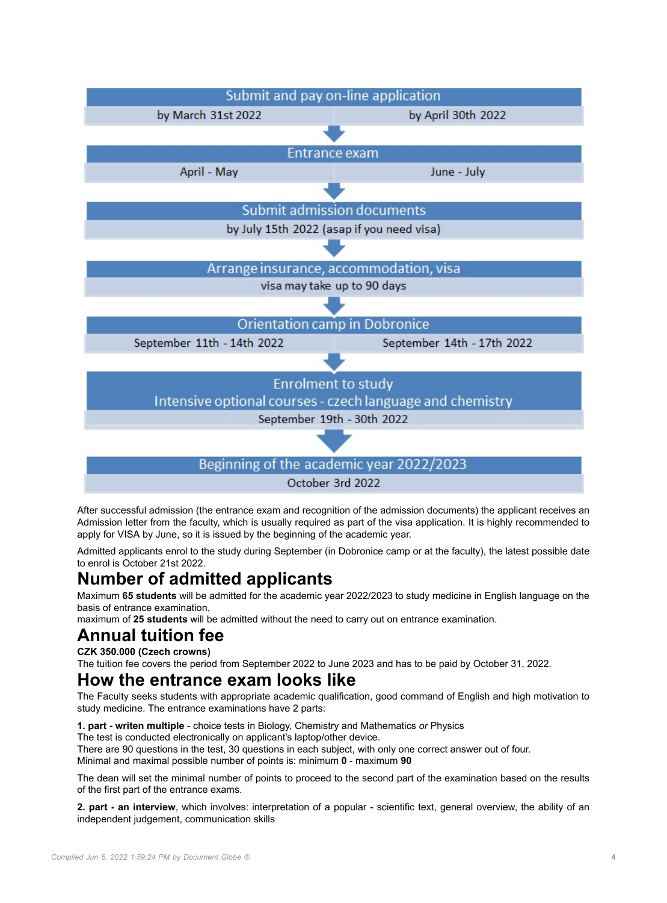

After successful admission (the entrance exam and recognition of the admission documents) the applicant receives an Admission letter from the faculty, which is usually required as part of the visa application. It is highly recommended to apply for VISA by June, so it is issued by the beginning of the academic year.

Admitted applicants enrol to the study during September (in Dobronice camp or at the faculty), the latest possible date to enrol is October 21st 2022.

# **Number of admitted applicants**

Maximum **65 students** will be admitted for the academic year 2022/2023 to study medicine in English language on the basis of entrance examination,

maximum of **25 students** will be admitted without the need to carry out on entrance examination.

# **Annual tuition fee**

**CZK 350.000 (Czech crowns)**

The tuition fee covers the period from September 2022 to June 2023 and has to be paid by October 31, 2022.

### **How the entrance exam looks like**

The Faculty seeks students with appropriate academic qualification, good command of English and high motivation to study medicine. The entrance examinations have 2 parts:

**1. part - writen multiple** - choice tests in Biology, Chemistry and Mathematics *or* Physics

The test is conducted electronically on applicant's laptop/other device.

There are 90 questions in the test, 30 questions in each subject, with only one correct answer out of four.

Minimal and maximal possible number of points is: minimum **0** - maximum **90**

The dean will set the minimal number of points to proceed to the second part of the examination based on the results of the first part of the entrance exams.

**2. part - an interview**, which involves: interpretation of a popular - scientific text, general overview, the ability of an independent judgement, communication skills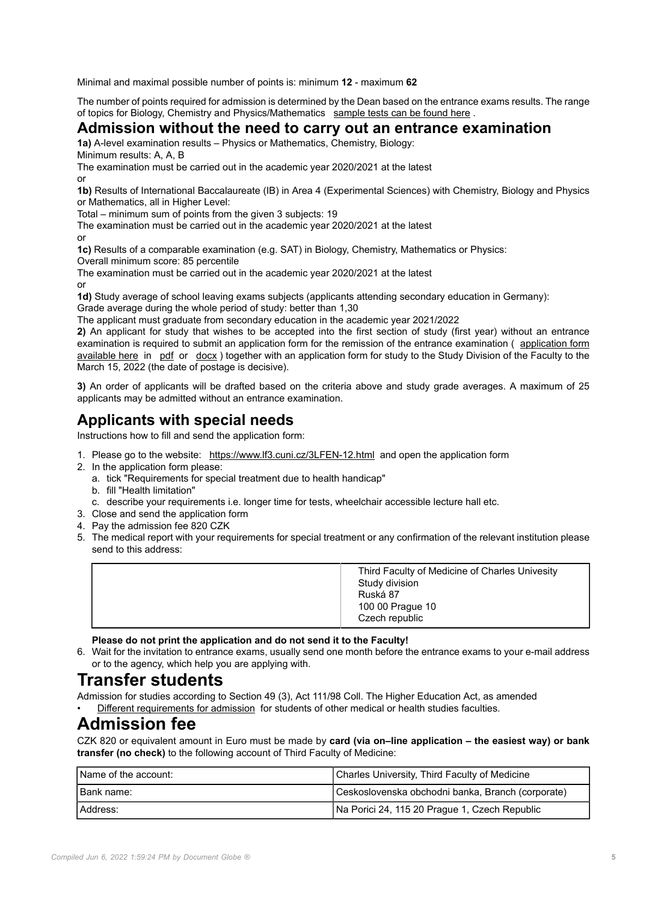Minimal and maximal possible number of points is: minimum **12** - maximum **62**

The number of points required for admission is determined by the Dean based on the entrance exams results. The range of topics for Biology, Chemistry and Physics/Mathematics [sample tests can be found here](3LFEN-13.html).

#### **Admission without the need to carry out an entrance examination**

**1a)** A-level examination results – Physics or Mathematics, Chemistry, Biology: Minimum results: A, A, B

The examination must be carried out in the academic year 2020/2021 at the latest

or

**1b)** Results of International Baccalaureate (IB) in Area 4 (Experimental Sciences) with Chemistry, Biology and Physics or Mathematics, all in Higher Level:

Total – minimum sum of points from the given 3 subjects: 19

The examination must be carried out in the academic year 2020/2021 at the latest

or

**1c)** Results of a comparable examination (e.g. SAT) in Biology, Chemistry, Mathematics or Physics:

Overall minimum score: 85 percentile

The examination must be carried out in the academic year 2020/2021 at the latest or

**1d)** Study average of school leaving exams subjects (applicants attending secondary education in Germany): Grade average during the whole period of study: better than 1,30

The applicant must graduate from secondary education in the academic year 2021/2022

**2)** An applicant for study that wishes to be accepted into the first section of study (first year) without an entrance examination is required to submit an application form for the remission of the entrance examination ( [application form](3LFEN-11-version1-3lfen_11_version1_application_for_remission_of_entrance_exams_2021_2022.docx) [available here](3LFEN-11-version1-3lfen_11_version1_application_for_remission_of_entrance_exams_2021_2022.docx) in [pdf](3LFEN-11-version1-3lfen_11_version1_application_for_remission_of_entrance_exams_2021_2022.docx) or [docx](#page-0-0) ) together with an application form for study to the Study Division of the Faculty to the March 15, 2022 (the date of postage is decisive).

**3)** An order of applicants will be drafted based on the criteria above and study grade averages. A maximum of 25 applicants may be admitted without an entrance examination.

### **Applicants with special needs**

Instructions how to fill and send the application form:

- 1. Please go to the website: [https://www.lf3.cuni.cz/3LFEN-12.html](3LFEN-12.html) and open the application form
- 2. In the application form please:
	- a. tick "Requirements for special treatment due to health handicap"
	- b. fill "Health limitation"
	- c. describe your requirements i.e. longer time for tests, wheelchair accessible lecture hall etc.
- 3. Close and send the application form
- 4. Pay the admission fee 820 CZK
- 5. The medical report with your requirements for special treatment or any confirmation of the relevant institution please send to this address:

|  | Third Faculty of Medicine of Charles Univesity<br>Study division<br>Ruská 87<br>100 00 Prague 10<br>Czech republic |
|--|--------------------------------------------------------------------------------------------------------------------|
|--|--------------------------------------------------------------------------------------------------------------------|

**Please do not print the application and do not send it to the Faculty!**

6. Wait for the invitation to entrance exams, usually send one month before the entrance exams to your e-mail address or to the agency, which help you are applying with.

### **Transfer students**

Admission for studies according to Section 49 (3), Act 111/98 Coll. The Higher Education Act, as amended • [Different requirements for admission](3LFEN-388.html) for students of other medical or health studies faculties.

# **Admission fee**

CZK 820 or equivalent amount in Euro must be made by **card (via on–line application – the easiest way) or bank transfer (no check)** to the following account of Third Faculty of Medicine:

| I Name of the account: | Charles University, Third Faculty of Medicine     |
|------------------------|---------------------------------------------------|
| I Bank name:           | Ceskoslovenska obchodni banka, Branch (corporate) |
| Address:               | Na Porici 24, 115 20 Prague 1, Czech Republic     |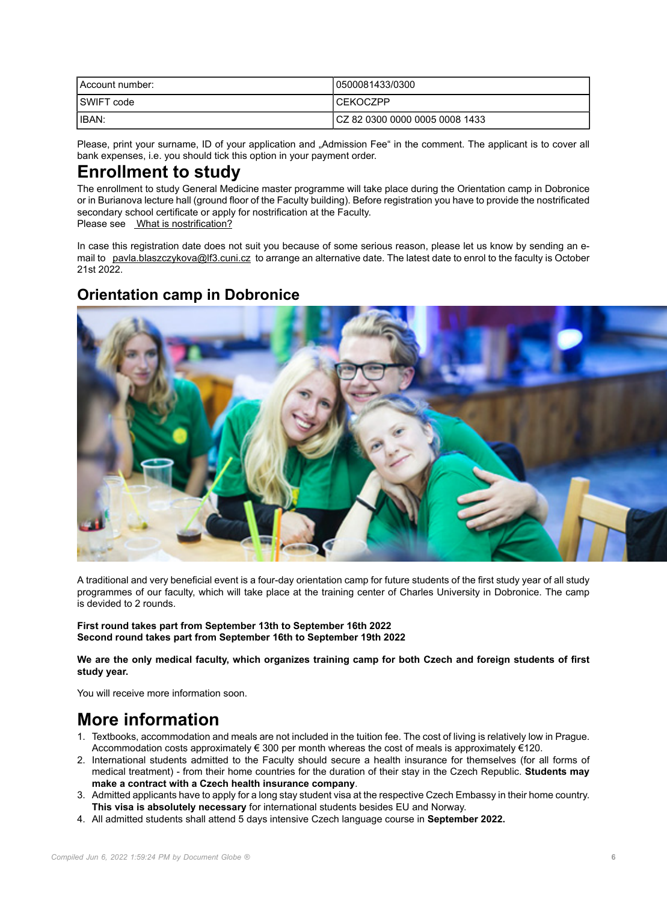| Account number:   | 10500081433/0300                |
|-------------------|---------------------------------|
| <b>SWIFT</b> code | l CEKOCZPP                      |
| <b>IIBAN:</b>     | ICZ 82 0300 0000 0005 0008 1433 |

Please, print your surname, ID of your application and "Admission Fee" in the comment. The applicant is to cover all bank expenses, i.e. you should tick this option in your payment order.

# **Enrollment to study**

The enrollment to study General Medicine master programme will take place during the Orientation camp in Dobronice or in Burianova lecture hall (ground floor of the Faculty building). Before registration you have to provide the nostrificated secondary school certificate or apply for nostrification at the Faculty.

Please see [What is nostrification?](#page-0-0)

In case this registration date does not suit you because of some serious reason, please let us know by sending an email to [pavla.blaszczykova@lf3.cuni.cz](mailto:pavla.blaszczykova@lf3.cuni.cz) to arrange an alternative date. The latest date to enrol to the faculty is October 21st 2022.

### **Orientation camp in Dobronice**



A traditional and very beneficial event is a four-day orientation camp for future students of the first study year of all study programmes of our faculty, which will take place at the training center of Charles University in Dobronice. The camp is devided to 2 rounds.

**First round takes part from September 13th to September 16th 2022 Second round takes part from September 16th to September 19th 2022**

**We are the only medical faculty, which organizes training camp for both Czech and foreign students of first study year.**

You will receive more information soon.

# **More information**

- 1. Textbooks, accommodation and meals are not included in the tuition fee. The cost of living is relatively low in Prague. Accommodation costs approximately  $\epsilon$  300 per month whereas the cost of meals is approximately  $\epsilon$ 120.
- 2. International students admitted to the Faculty should secure a health insurance for themselves (for all forms of medical treatment) - from their home countries for the duration of their stay in the Czech Republic. **Students may make a contract with a Czech health insurance company**.
- 3. Admitted applicants have to apply for a long stay student visa at the respective Czech Embassy in their home country. **This visa is absolutely necessary** for international students besides EU and Norway.
- 4. All admitted students shall attend 5 days intensive Czech language course in **September 2022.**